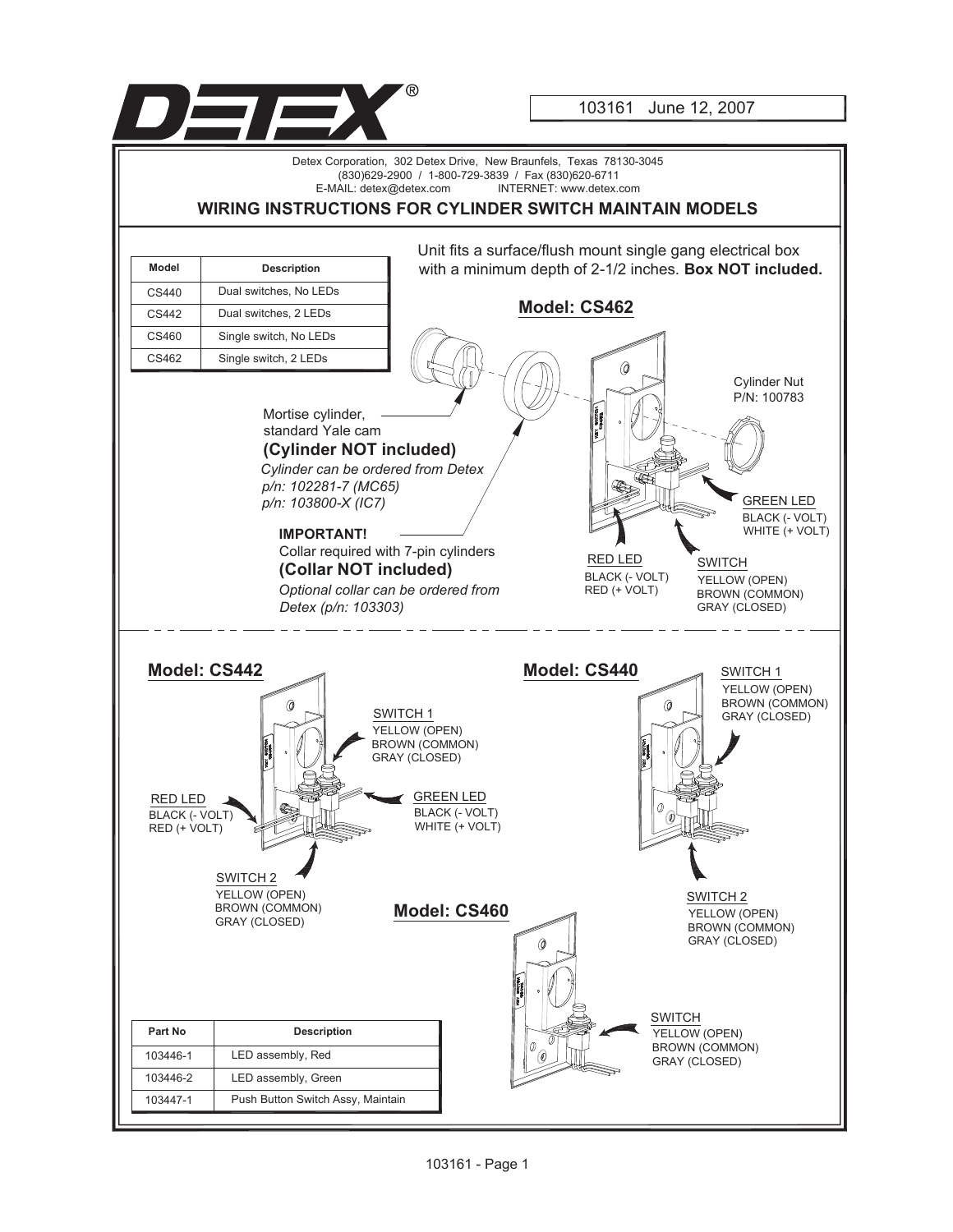

103161 June 12, 2007